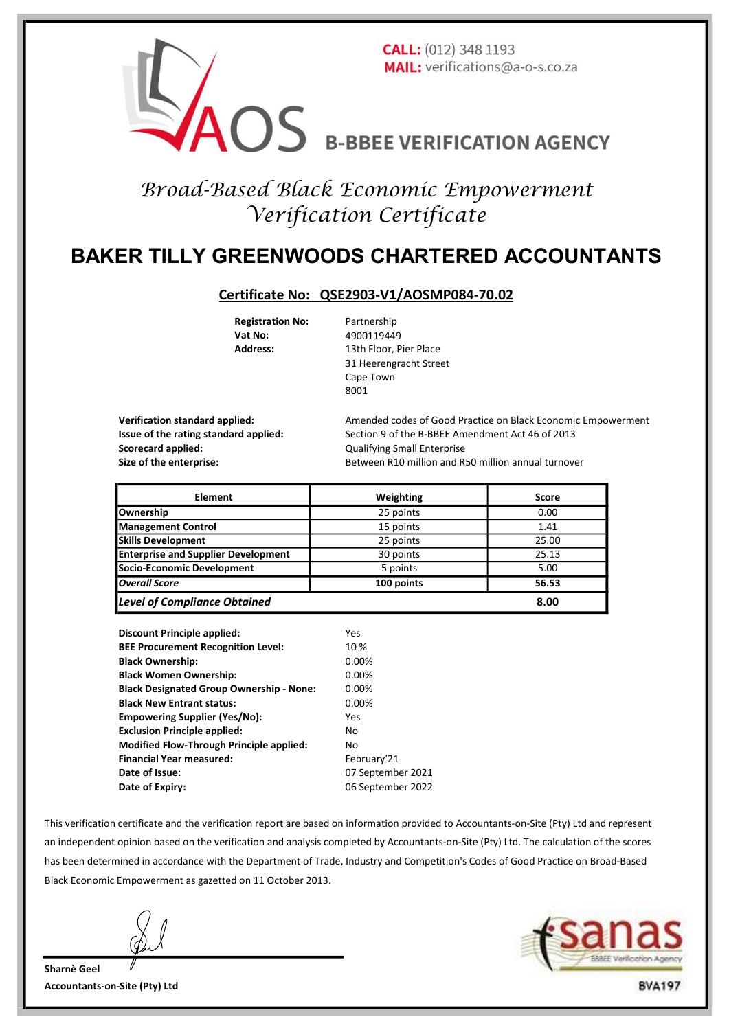

# Broad-Based Black Economic Empowerment Verification Certificate

## BAKER TILLY GREENWOODS CHARTERED ACCOUNTANTS

#### Certificate No: QSE2903-V1/AOSMP084-70.02

Registration No: Partnership Vat No: 4900119449

Address: 13th Floor, Pier Place 31 Heerengracht Street Cape Town 8001

Scorecard applied: Corecard applied: Cualifying Small Enterprise

Verification standard applied: Amended codes of Good Practice on Black Economic Empowerment Issue of the rating standard applied: Section 9 of the B-BBEE Amendment Act 46 of 2013 Size of the enterprise: Between R10 million and R50 million annual turnover

| <b>Element</b>                             | Weighting  | <b>Score</b> |
|--------------------------------------------|------------|--------------|
| Ownership                                  | 25 points  | 0.00         |
| <b>Management Control</b>                  | 15 points  | 1.41         |
| <b>Skills Development</b>                  | 25 points  | 25.00        |
| <b>Enterprise and Supplier Development</b> | 30 points  | 25.13        |
| Socio-Economic Development                 | 5 points   | 5.00         |
| <b>Overall Score</b>                       | 100 points | 56.53        |
| <b>Level of Compliance Obtained</b>        |            | 8.00         |

| <b>Discount Principle applied:</b>              | Yes               |
|-------------------------------------------------|-------------------|
| <b>BEE Procurement Recognition Level:</b>       | 10%               |
| <b>Black Ownership:</b>                         | 0.00%             |
| <b>Black Women Ownership:</b>                   | 0.00%             |
| <b>Black Designated Group Ownership - None:</b> | 0.00%             |
| <b>Black New Entrant status:</b>                | 0.00%             |
| <b>Empowering Supplier (Yes/No):</b>            | Yes               |
| <b>Exclusion Principle applied:</b>             | No                |
| <b>Modified Flow-Through Principle applied:</b> | No                |
| <b>Financial Year measured:</b>                 | February'21       |
| Date of Issue:                                  | 07 September 2021 |
| Date of Expiry:                                 | 06 September 2022 |

This verification certificate and the verification report are based on information provided to Accountants-on-Site (Pty) Ltd and represent an independent opinion based on the verification and analysis completed by Accountants-on-Site (Pty) Ltd. The calculation of the scores has been determined in accordance with the Department of Trade, Industry and Competition's Codes of Good Practice on Broad-Based Black Economic Empowerment as gazetted on 11 October 2013.



Sharnè Geel Accountants-on-Site (Pty) Ltd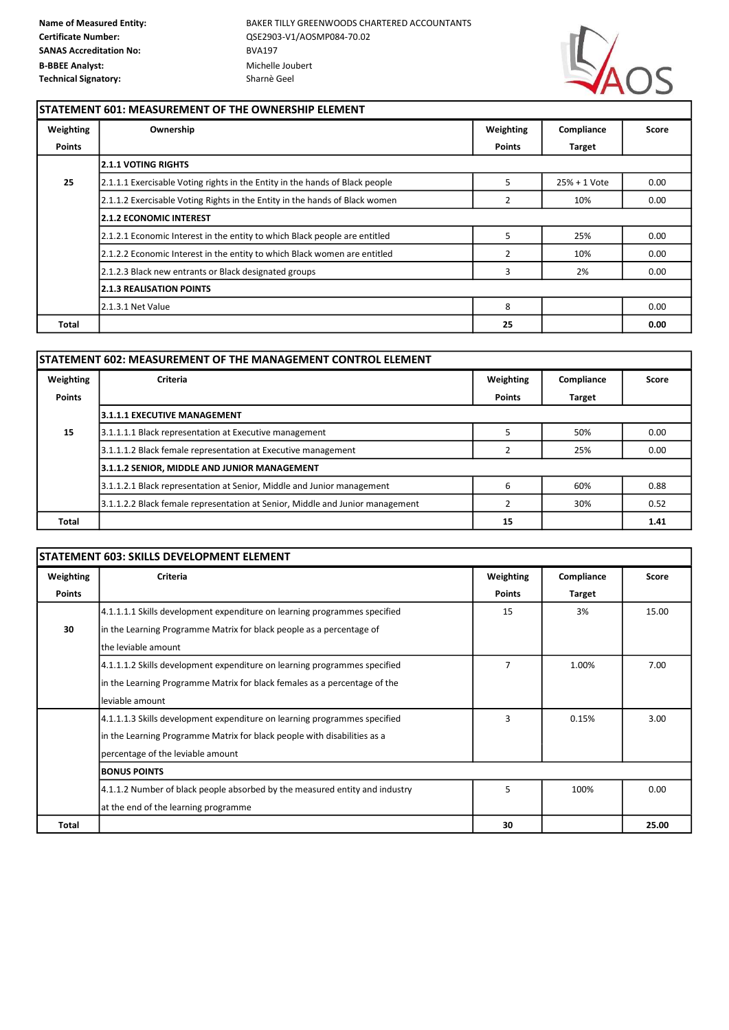

٦

#### STATEMENT 601: MEASUREMENT OF THE OWNERSHIP ELEMENT

| Weighting     | Ownership                                                                    | Weighting     | Compliance    | Score |
|---------------|------------------------------------------------------------------------------|---------------|---------------|-------|
| <b>Points</b> |                                                                              | <b>Points</b> | <b>Target</b> |       |
|               | <b>2.1.1 VOTING RIGHTS</b>                                                   |               |               |       |
| 25            | 2.1.1.1 Exercisable Voting rights in the Entity in the hands of Black people | 5             | 25% + 1 Vote  | 0.00  |
|               | 2.1.1.2 Exercisable Voting Rights in the Entity in the hands of Black women  | 2             | 10%           | 0.00  |
|               | <b>12.1.2 ECONOMIC INTEREST</b>                                              |               |               |       |
|               | 2.1.2.1 Economic Interest in the entity to which Black people are entitled   | 5             | 25%           | 0.00  |
|               | 2.1.2.2 Economic Interest in the entity to which Black women are entitled    | 2             | 10%           | 0.00  |
|               | 2.1.2.3 Black new entrants or Black designated groups                        | 3             | 2%            | 0.00  |
|               | <b>2.1.3 REALISATION POINTS</b>                                              |               |               |       |
|               | 2.1.3.1 Net Value                                                            | 8             |               | 0.00  |
| Total         |                                                                              | 25            |               | 0.00  |

| STATEMENT 602: MEASUREMENT OF THE MANAGEMENT CONTROL ELEMENT |                                                                               |               |               |       |  |
|--------------------------------------------------------------|-------------------------------------------------------------------------------|---------------|---------------|-------|--|
| Weighting                                                    | <b>Criteria</b>                                                               | Weighting     | Compliance    | Score |  |
| <b>Points</b>                                                |                                                                               | <b>Points</b> | <b>Target</b> |       |  |
|                                                              | <b>3.1.1.1 EXECUTIVE MANAGEMENT</b>                                           |               |               |       |  |
| 15                                                           | 3.1.1.1.1 Black representation at Executive management                        |               | 50%           | 0.00  |  |
|                                                              | 3.1.1.1.2 Black female representation at Executive management                 |               | 25%           | 0.00  |  |
|                                                              | 3.1.1.2 SENIOR, MIDDLE AND JUNIOR MANAGEMENT                                  |               |               |       |  |
|                                                              | 3.1.1.2.1 Black representation at Senior, Middle and Junior management        | 6             | 60%           | 0.88  |  |
|                                                              | 3.1.1.2.2 Black female representation at Senior, Middle and Junior management |               | 30%           | 0.52  |  |
| Total                                                        |                                                                               | 15            |               | 1.41  |  |

### STATEMENT 603: SKILLS DEVELOPMENT ELEMENT

| Weighting     | <b>Criteria</b>                                                             | Weighting      | Compliance    | Score |
|---------------|-----------------------------------------------------------------------------|----------------|---------------|-------|
| <b>Points</b> |                                                                             | <b>Points</b>  | <b>Target</b> |       |
|               | 4.1.1.1.1 Skills development expenditure on learning programmes specified   | 15             | 3%            | 15.00 |
| 30            | in the Learning Programme Matrix for black people as a percentage of        |                |               |       |
|               | the leviable amount                                                         |                |               |       |
|               | 4.1.1.1.2 Skills development expenditure on learning programmes specified   | $\overline{7}$ | 1.00%         | 7.00  |
|               | In the Learning Programme Matrix for black females as a percentage of the   |                |               |       |
|               | leviable amount                                                             |                |               |       |
|               | 4.1.1.1.3 Skills development expenditure on learning programmes specified   | 3              | 0.15%         | 3.00  |
|               | in the Learning Programme Matrix for black people with disabilities as a    |                |               |       |
|               | percentage of the leviable amount                                           |                |               |       |
|               | <b>BONUS POINTS</b>                                                         |                |               |       |
|               | 4.1.1.2 Number of black people absorbed by the measured entity and industry | 5              | 100%          | 0.00  |
|               | at the end of the learning programme                                        |                |               |       |
| Total         |                                                                             | 30             |               | 25.00 |